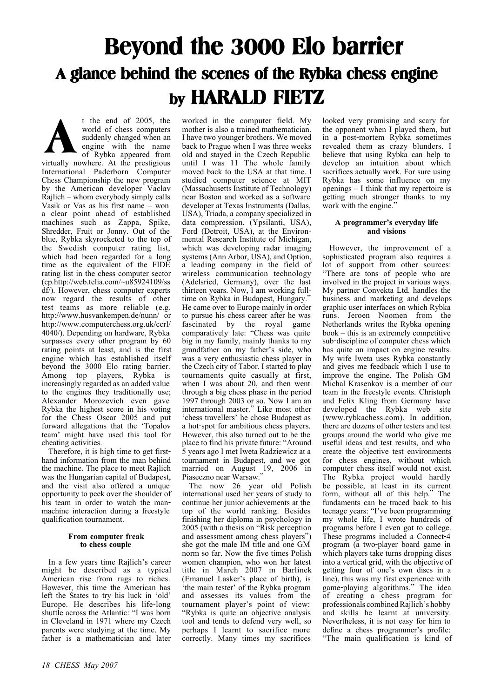# **Beyond the 3000 Elo barrier A glance behind the scenes of the Rybka chess engine by HARALD FIETZ**

t the end of 2005, the world of chess computers suddenly changed when an engine with the name of Rybka appeared from virtually nowhere. At the prestigious International Paderborn Computer Chess Championship the new program by the American developer Vaclav Rajlich – whom everybody simply calls Vasik or Vas as his first name – won a clear point ahead of established machines such as Zappa, Spike, Shredder, Fruit or Jonny. Out of the blue, Rybka skyrocketed to the top of the Swedish computer rating list, which had been regarded for a long time as the equivalent of the FIDE rating list in the chess computer sector (cp.http://web.telia.com/~u85924109/ss df/). However, chess computer experts now regard the results of other test teams as more reliable (e.g. http://www.husvankempen.de/nunn/ or http://www.computerchess.org.uk/ccrl/ 4040/). Depending on hardware, Rybka surpasses every other program by 60 rating points at least, and is the first engine which has established itself beyond the 3000 Elo rating barrier. Among top players, Rybka is increasingly regarded as an added value to the engines they traditionally use; Alexander Morozevich even gave Rybka the highest score in his voting for the Chess Oscar 2005 and put forward allegations that the 'Topalov team' might have used this tool for cheating activities. **A**

Therefore, it is high time to get firsthand information from the man behind the machine. The place to meet Rajlich was the Hungarian capital of Budapest, and the visit also offered a unique opportunity to peek over the shoulder of his team in order to watch the manmachine interaction during a freestyle qualification tournament.

# **From computer freak to chess couple**

In a few years time Rajlich's career might be described as a typical American rise from rags to riches. However, this time the American has left the States to try his luck in 'old' Europe. He describes his life-long shuttle across the Atlantic: "I was born in Cleveland in 1971 where my Czech parents were studying at the time. My father is a mathematician and later

worked in the computer field. My mother is also a trained mathematician. I have two younger brothers. We moved back to Prague when I was three weeks old and stayed in the Czech Republic until I was 11 The whole family moved back to the USA at that time. I studied computer science at MIT (Massachusetts Institute of Technology) near Boston and worked as a software developer at Texas Instruments (Dallas, USA), Triada, a company specialized in data compression, (Ypsilanti, USA), Ford (Detroit, USA), at the Environmental Research Institute of Michigan, which was developing radar imaging systems (Ann Arbor, USA), and Option, a leading company in the field of wireless communication technology (Adelsried, Germany), over the last thirteen years. Now, I am working fulltime on Rybka in Budapest, Hungary.' He came over to Europe mainly in order to pursue his chess career after he was fascinated by the royal game comparatively late: "Chess was quite big in my family, mainly thanks to my grandfather on my father's side, who was a very enthusiastic chess player in the Czech city of Tabor. I started to play tournaments quite casually at first, when I was about 20, and then went through a big chess phase in the period 1997 through 2003 or so. Now I am an international master." Like most other 'chess travellers' he chose Budapest as a hot-spot for ambitious chess players. However, this also turned out to be the place to find his private future: "Around 5 years ago I met Iweta Radziewicz at a tournament in Budapest, and we got married on August 19, 2006 in Piaseczno near Warsaw."

The now 26 year old Polish international used her years of study to continue her junior achievements at the top of the world ranking. Besides finishing her diploma in psychology in 2005 (with a thesis on "Risk perception and assessment among chess players") she got the male IM title and one GM norm so far. Now the five times Polish women champion, who won her latest title in March 2007 in Barlinek (Emanuel Lasker's place of birth), is 'the main tester' of the Rybka program and assesses its values from the tournament player's point of view: "Rybka is quite an objective analysis tool and tends to defend very well, so perhaps I learnt to sacrifice more correctly. Many times my sacrifices

looked very promising and scary for the opponent when I played them, but in a post-mortem Rybka sometimes revealed them as crazy blunders. I believe that using Rybka can help to develop an intuition about which sacrifices actually work. For sure using Rybka has some influence on my openings – I think that my repertoire is getting much stronger thanks to my work with the engine."

# **A programmer's everyday life and visions**

However, the improvement of a sophisticated program also requires a lot of support from other sources: "There are tons of people who are involved in the project in various ways. My partner Convekta Ltd. handles the business and marketing and develops graphic user interfaces on which Rybka runs. Jeroen Noomen from the Netherlands writes the Rybka opening book – this is an extremely competitive sub-discipline of computer chess which has quite an impact on engine results. My wife Iweta uses Rybka constantly and gives me feedback which I use to improve the engine. The Polish GM Michal Krasenkov is a member of our team in the freestyle events. Christoph and Felix Kling from Germany have developed the Rybka web site (www.rybkachess.com). In addition, there are dozens of other testers and test groups around the world who give me useful ideas and test results, and who create the objective test environments for chess engines, without which computer chess itself would not exist. The Rybka project would hardly be possible, at least in its current form, without all of this help." The fundaments can be traced back to his teenage years: "I've been programming my whole life, I wrote hundreds of programs before I even got to college. These programs included a Connect-4 program (a two-player board game in which players take turns dropping discs into a vertical grid, with the objective of getting four of one's own discs in a line), this was my first experience with game-playing algorithms." The idea of creating a chess program for professionals combined Rajlich's hobby and skills he learnt at university. Nevertheless, it is not easy for him to define a chess programmer's profile: "The main qualification is kind of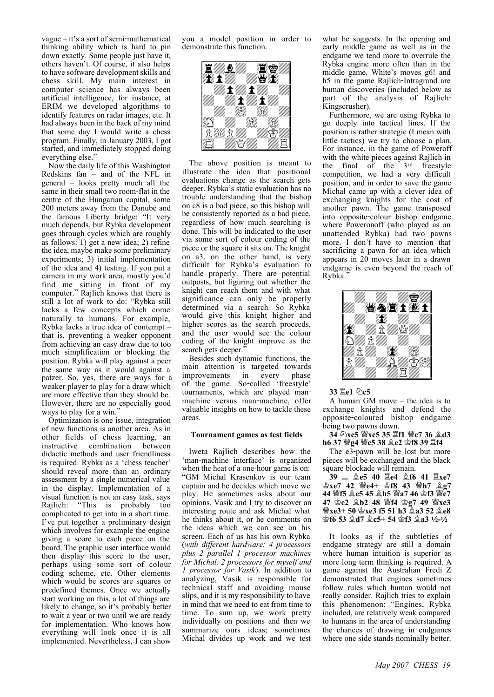vague – it's a sort of semi-mathematical thinking ability which is hard to pin down exactly. Some people just have it, others haven't. Of course, it also helps to have software development skills and chess skill. My main interest in computer science has always been artificial intelligence, for instance, at ERIM we developed algorithms to identify features on radar images, etc. It had always been in the back of my mind that some day I would write a chess program. Finally, in January 2003, I got started, and immediately stopped doing everything else.'

Now the daily life of this Washington Redskins fan – and of the NFL in general – looks pretty much all the same in their small two room-flat in the centre of the Hungarian capital, some 200 meters away from the Danube and the famous Liberty bridge: "It very much depends, but Rybka development goes through cycles which are roughly as follows: 1) get a new idea; 2) refine the idea, maybe make some preliminary experiments; 3) initial implementation of the idea and 4) testing. If you put a camera in my work area, mostly you'd find me sitting in front of my computer." Rajlich knows that there is still a lot of work to do: "Rybka still lacks a few concepts which come naturally to humans. For example, Rybka lacks a true idea of contempt – that is, preventing a weaker opponent from achieving an easy draw due to too much simplification or blocking the position. Rybka will play against a peer the same way as it would against a patzer. So, yes, there are ways for a weaker player to play for a draw which are more effective than they should be. However, there are no especially good ways to play for a win."

Optimization is one issue, integration of new functions is another area. As in other fields of chess learning, an instructive combination between didactic methods and user friendliness is required. Rybka as a 'chess teacher' should reveal more than an ordinary assessment by a single numerical value in the display. Implementation of a visual function is not an easy task, says Rajlich: "This is probably too complicated to get into in a short time. I've put together a preliminary design which involves for example the engine giving a score to each piece on the board. The graphic user interface would then display this score to the user, perhaps using some sort of colour coding scheme, etc. Other elements which would be scores are squares or predefined themes. Once we actually start working on this, a lot of things are likely to change, so it's probably better to wait a year or two until we are ready for implementation. Who knows how everything will look once it is all implemented. Nevertheless, I can show

you a model position in order to demonstrate this function.



The above position is meant to illustrate the idea that positional evaluations change as the search gets deeper. Rybka's static evaluation has no trouble understanding that the bishop on c8 is a bad piece, so this bishop will be consistently reported as a bad piece, regardless of how much searching is done. This will be indicated to the user via some sort of colour coding of the piece or the square it sits on. The knight on a3, on the other hand, is very difficult for Rybka's evaluation to handle properly. There are potential outposts, but figuring out whether the knight can reach them and with what significance can only be properly determined via a search. So Rybka would give this knight higher and higher scores as the search proceeds, and the user would see the colour coding of the knight improve as the search gets deeper."

Besides such dynamic functions, the main attention is targeted towards improvements in every phase of the game. So-called 'freestyle' tournaments, which are played manmachine versus man-machine, offer valuable insights on how to tackle these areas.

## **Tournament games as test fields**

Iweta Rajlich describes how the 'man-machine interface' is organized when the heat of a one-hour game is on: "GM Michal Krasenkov is our team captain and he decides which move we play. He sometimes asks about our opinions. Vasik and I try to discover an interesting route and ask Michal what he thinks about it, or he comments on the ideas which we can see on his screen. Each of us has his own Rybka (*with different hardware: 4 processors plus 2 parallel 1 processor machines for Michal, 2 processors for myself and 1 processor for Vasik*). In addition to analyzing, Vasik is responsible for technical staff and avoiding mouse slips, and it is my responsibility to have in mind that we need to eat from time to time. To sum up, we work pretty individually on positions and then we summarize ours ideas; sometimes Michal divides up work and we test

what he suggests. In the opening and early middle game as well as in the endgame we tend more to overrule the Rybka engine more often than in the middle game. White's moves g6! and h5 in the game Rajlich-Intragrand are human discoveries (included below as part of the analysis of Rajlich-Kingscrusher).

Furthermore, we are using Rybka to go deeply into tactical lines. If the position is rather strategic (I mean with little tactics) we try to choose a plan. For instance, in the game of Poweroff with the white pieces against Rajlich in the final of the 3rd freestyle competition, we had a very difficult position, and in order to save the game Michal came up with a clever idea of exchanging knights for the cost of another pawn. The game transposed into opposite-colour bishop endgame where Poweronoff (who played as an unattended Rybka) had two pawns more. I don't have to mention that sacrificing a pawn for an idea which appears in 20 moves later in a drawn endgame is even beyond the reach of Rybka."



# **33**  $\Xi$ **e1 2c5**

A human GM move – the idea is to exchange knights and defend the opposite-coloured bishop endgame being two pawns down.

## 34 公xc5 營xc5 35 **Lf1 營c7 36 2d3 h6 37 曾g4 曾c5 38 皇e2 會f8 39 罝f4**

The e3-pawn will be lost but more pieces will be exchanged and the black square blockade will remain.

**39 ... Íe5 40 Îe4 Íf6 41 Îxe7 Êxe7 42 Ëe4+ Êf8 43 Ëh7 Íg7** 44 營f5 **ge5 45 gh5 營a7 46 會f3 營e7 47 Êe2 Íb2 48 Ëf4 Êg7 49 Ëxe3 Ëxe3+ 50 Êxe3 f5 51 h3 Ía3 52 Íe8**  $\hat{\mathcal{L}}$ f6 53  $\hat{\mathcal{L}}$ d7  $\hat{\mathcal{L}}$ c5+ 54  $\hat{\mathcal{L}}$ f3  $\hat{\mathcal{L}}$ a3 1/2-1/2

It looks as if the subtleties of endgame strategy are still a domain where human intuition is superior as more long-term thinking is required. A game against the Australian Fredi\_Z demonstrated that engines sometimes follow rules which human would not really consider. Rajlich tries to explain this phenomenon: "Engines, Rybka included, are relatively weak compared to humans in the area of understanding the chances of drawing in endgames where one side stands nominally better.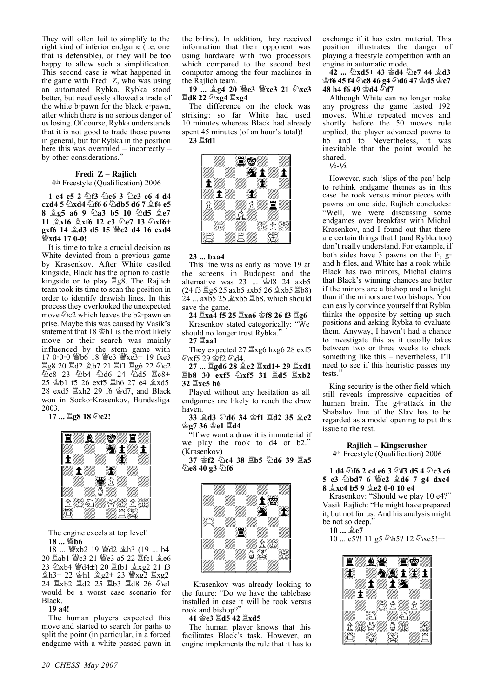They will often fail to simplify to the right kind of inferior endgame (i.e. one that is defensible), or they will be too happy to allow such a simplification. This second case is what happened in the game with Fredi\_Z, who was using an automated Rybka. Rybka stood better, but needlessly allowed a trade of the white b-pawn for the black e-pawn, after which there is no serious danger of us losing. Of course, Rybka understands that it is not good to trade those pawns in general, but for Rybka in the position here this was overruled – incorrectly – by other considerations.'

#### **Fredi\_Z – Rajlich** 4th Freestyle (Qualification) 2006

**1 e4 c5 2**  $\circled{2}$ **f3**  $\circled{2}$ **c6 3**  $\circled{2}$ **c3 e6 4 d4 cxd4 5 2xd4 2f6 6 2db5 d6 7 2f4 e5 8 <u><sup>2</sup>g5</u>** a6 9  $\ddot{\text{a}}$ a3 b5 10  $\ddot{\text{a}}$ d5 <sup>2</sup>e7 **11**  $\&$ **xf6**  $\&$ **xf6 12 c3**  $\&$ **e7 13**  $\&$ **xf6+ gxf6 14 Íd3 d5 15 Ëe2 d4 16 cxd4 Ëxd4 17 0-0!** 

It is time to take a crucial decision as White deviated from a previous game by Krasenkov. After White castled kingside, Black has the option to castle kingside or to play  $\Xi$ g8. The Rajlich team took its time to scan the position in order to identify drawish lines. In this process they overlooked the unexpected move  $\triangle$ c2 which leaves the b2-pawn en prise. Maybe this was caused by Vasik's statement that  $18 \trianglelefteq h1$  is the most likely move or their search was mainly influenced by the stem game with 17 0-0-0 @b6 18 @e3 @xe3+ 19 fxe3  $\Xi$ g8 20  $\Xi$ d2  $\triangle$ b7 21  $\Xi$ f1  $\Xi$ g6 22  $\triangle$ c2  $\triangle$ c8 23  $\triangle$ b4  $\triangle$ d6 24  $\triangle$ d5  $\triangle$ c8+ 25  $\textcircled{z}$ b1 f5 26 exf5  $\textcircled{z}$ h6 27 e4  $\textcircled{z}$ xd5 28 exd5  $\Xi$ xh2 29 f6  $\hat{\otimes}$ d7, and Black won in Socko-Krasenkov, Bundesliga 2003.

17 ...  $\Xi$ **g8 18 2c2!** 



The engine excels at top level! **18 ... Ëb6** 

18 ... 響xb2 19 響d2 拿h3 (19 ... b4 20  $\Xi$ ab1 營c3 21 營e3 a5 22  $\Xi$ fc1  $\triangleq$ e6 23 Zxb4 Wd4±) 20  $\mathbb{E}$ fb1  $\mathbb{Q}$ xg2 21 f3  $\pm 1.1 + 22$   $\pm 1.1$   $\pm 2.2 + 23$   $\pm 2.2$   $\pm 2.2$ 24  $\Xi$ xb2  $\Xi$ d2 25  $\Xi$ b3  $\Xi$ d8 26  $\Omega$ e1 would be a worst case scenario for Black.

#### **19 a4!**

The human players expected this move and started to search for paths to split the point (in particular, in a forced endgame with a white passed pawn in

the b-line). In addition, they received information that their opponent was using hardware with two processors which compared to the second best computer among the four machines in the Rajlich team.

**19 ... Íg4 20 Ëe3 Ëxe3 21 Ìxe3 Ld8 22 公xg4 盟xg4** 

The difference on the clock was striking: so far White had used 10 minutes whereas Black had already spent 45 minutes (of an hour's total)! **23 Îfd1** 



#### **23 ... bxa4**

This line was as early as move 19 at the screens in Budapest and the alternative was 23 ...  $\mathcal{L}$  18 24 axb5  $(24 f3 \frac{\text{II}}{\text{g}} 6 25 \text{ axb} 5 \text{ axb} 5 26 \frac{\text{a}}{\text{g}} \text{xb} 5 \frac{\text{II}}{\text{g}} 8)$ 24 ... axb5 25 **拿xb5 罩b8**, which should save the game.

## **24 Îxa4 f5 25 Îxa6 Êf8 26 f3 Îg6**

Krasenkov stated categorically: "We should no longer trust Rybka."

# **27 Îaa1**

They expected  $27 \times 26$  hxg6 28 exf5 <u>විxf5 29 \$f2 විd4.</u>

**27 ... Îgd6 28 Íe2 Îxd1+ 29 Îxd1 Îb8 30 exf5 Ìxf5 31 Îd5 Îxb2 32 Îxe5 h6** 

Played without any hesitation as all endgames are likely to reach the draw haven.

**33 Íd3 Ìd6 34 Êf1 Îd2 35 Íe2 Êg7 36 Êe1 Îd4** 

"If we want a draw it is immaterial if we play the rook to d4 or b2." (Krasenkov)

**37 Êf2 Ìc4 38 Îb5 Ìd6 39 Îa5 Ìe8 40 g3 Ìf6**



Krasenkov was already looking to the future: "Do we have the tablebase installed in case it will be rook versus rook and bishop?"

#### **41 Êe3 Îd5 42 Îxd5**

The human player knows that this facilitates Black's task. However, an engine implements the rule that it has to exchange if it has extra material. This position illustrates the danger of playing a freestyle competition with an engine in automatic mode.

**42 ... Ìxd5+ 43 Êd4 Ìe7 44 Íd3 Êf6 45 f4 Ìc8 46 g4 Ìd6 47 Êd5 Êe7 48 h4 f6 49 宫d4 ②f7** 

Although White can no longer make any progress the game lasted 192 moves. White repeated moves and shortly before the 50 moves rule applied, the player advanced pawns to h5 and f5 Nevertheless, it was inevitable that the point would be shared.

 $1/2 - 1/2$ 

However, such 'slips of the pen' help to rethink endgame themes as in this case the rook versus minor pieces with pawns on one side. Rajlich concludes: "Well, we were discussing some endgames over breakfast with Michal Krasenkov, and I found out that there are certain things that I (and Rybka too) don't really understand. For example, if both sides have 3 pawns on the f-, gand h-files, and White has a rook while Black has two minors, Michal claims that Black's winning chances are better if the minors are a bishop and a knight than if the minors are two bishops. You can easily convince yourself that Rybka thinks the opposite by setting up such positions and asking Rybka to evaluate them. Anyway, I haven't had a chance to investigate this as it usually takes between two or three weeks to check something like this – nevertheless, I'll need to see if this heuristic passes my tests."

King security is the other field which still reveals impressive capacities of human brain. The g4-attack in the Shabalov line of the Slav has to be regarded as a model opening to put this issue to the test.

**Rajlich – Kingscrusher** 4th Freestyle (Qualification) 2006

## **1 d4**  $\bigcirc$ **f6 2 c4 e6 3**  $\bigcirc$ **f3 d5 4**  $\bigcirc$ **c3 c6 5 e3 Ìbd7 6 Ëc2 Íd6 7 g4 dxc4 8 Íxc4 b5 9 Íe2 0-0 10 e4**

Krasenkov: "Should we play 10 e4?" Vasik Rajlich: "He might have prepared it, but not for us. And his analysis might be not so deep.

**10 ... Íe7** 

10 ... e5?! 11 g5 \b5? 12 \bxe5!+-